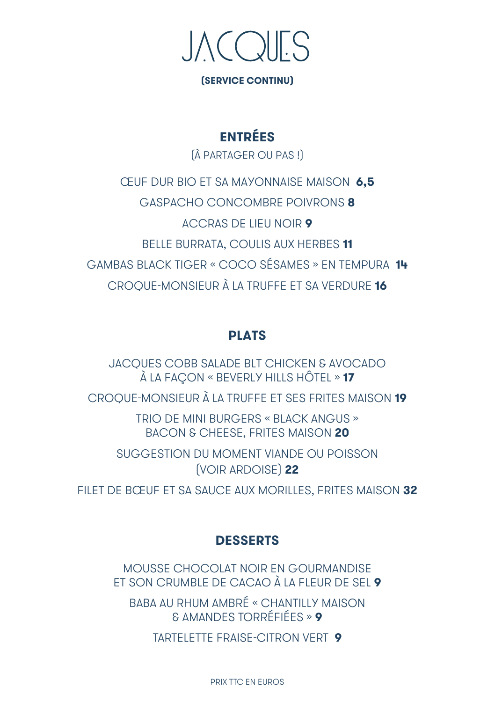

**(SERVICE CONTINU)**

## **ENTRÉES**

(À PARTAGER OU PAS !)

ŒUF DUR BIO ET SA MAYONNAISE MAISON **6,5** GASPACHO CONCOMBRE POIVRONS **8** ACCRAS DE LIEU NOIR **9** BELLE BURRATA, COULIS AUX HERBES **11** GAMBAS BLACK TIGER « COCO SÉSAMES » EN TEMPURA **14** CROQUE-MONSIEUR À LA TRUFFE ET SA VERDURE **16**

#### **PLATS**

JACQUES COBB SALADE BLT CHICKEN & AVOCADO À LA FAÇON « BEVERLY HILLS HÔTEL » **17**

CROQUE-MONSIEUR À LA TRUFFE ET SES FRITES MAISON **19**

TRIO DE MINI BURGERS « BLACK ANGUS » BACON & CHEESE, FRITES MAISON **20**

SUGGESTION DU MOMENT VIANDE OU POISSON (VOIR ARDOISE) **22**

FILET DE BŒUF ET SA SAUCE AUX MORILLES, FRITES MAISON **32**

### **DESSERTS**

MOUSSE CHOCOLAT NOIR EN GOURMANDISE ET SON CRUMBLE DE CACAO À LA FLEUR DE SEL **9**

BABA AU RHUM AMBRÉ « CHANTILLY MAISON & AMANDES TORRÉFIÉES » **9**

TARTELETTE FRAISE-CITRON VERT **9**

PRIX TTC EN EUROS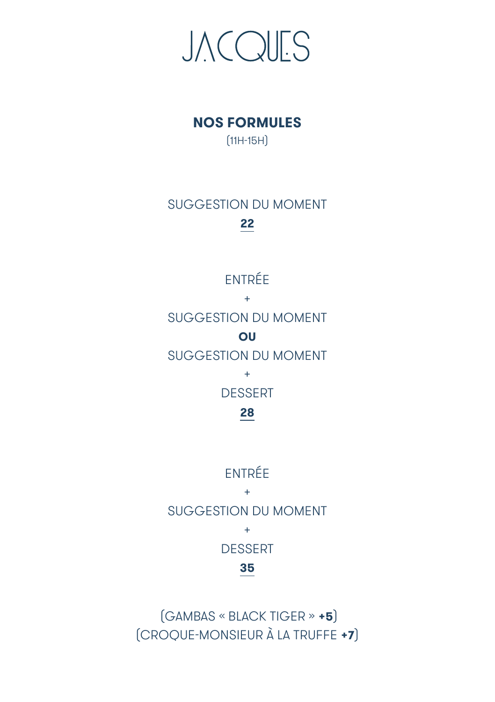

# **NOS FORMULES**

(11H-15H)

# SUGGESTION DU MOMENT **22**

# ENTRÉE

+ SUGGESTION DU MOMENT **OU** SUGGESTION DU MOMENT

> + DESSERT

**28**

## ENTRÉE

+ SUGGESTION DU MOMENT +

**DESSERT** 

## **35**

 (CROQUE-MONSIEUR À LA TRUFFE **+7**)(GAMBAS « BLACK TIGER » **+5**)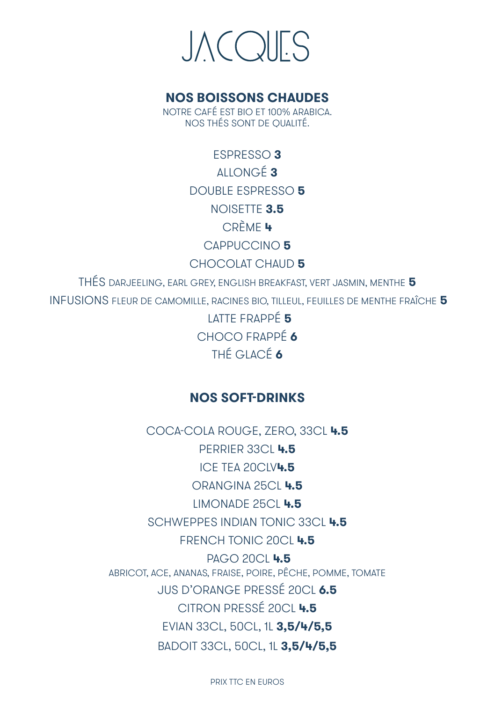# **JACQUES**

#### **NOS BOISSONS CHAUDES**

NOTRE CAFÉ EST BIO ET 100% ARABICA. NOS THÉS SONT DE QUALITÉ.

> ESPRESSO **3** ALLONGÉ **3** DOUBLE ESPRESSO **5** NOISETTE **3.5** CRÈME **4** CAPPUCCINO **5** CHOCOLAT CHAUD **5**

THÉS DARJEELING, EARL GREY, ENGLISH BREAKFAST, VERT JASMIN, MENTHE **5** INFUSIONS FLEUR DE CAMOMILLE, RACINES BIO, TILLEUL, FEUILLES DE MENTHE FRAÎCHE **5**

> LATTE FRAPPÉ **5** CHOCO FRAPPÉ **6** THÉ GLACÉ **6**

#### **NOS SOFT-DRINKS**

COCA-COLA ROUGE, ZERO, 33CL **4.5** PERRIER 33CL **4.5** ICE TEA 20CLV**4.5** ORANGINA 25CL **4.5** LIMONADE 25CL **4.5** SCHWEPPES INDIAN TONIC 33CL **4.5** FRENCH TONIC 20CL **4.5** PAGO 20CL **4.5** ABRICOT, ACE, ANANAS, FRAISE, POIRE, PÊCHE, POMME, TOMATE JUS D'ORANGE PRESSÉ 20CL **6.5** CITRON PRESSÉ 20CL **4.5** EVIAN 33CL, 50CL, 1L **3,5/4/5,5** BADOIT 33CL, 50CL, 1L **3,5/4/5,5**

PRIX TTC EN EUROS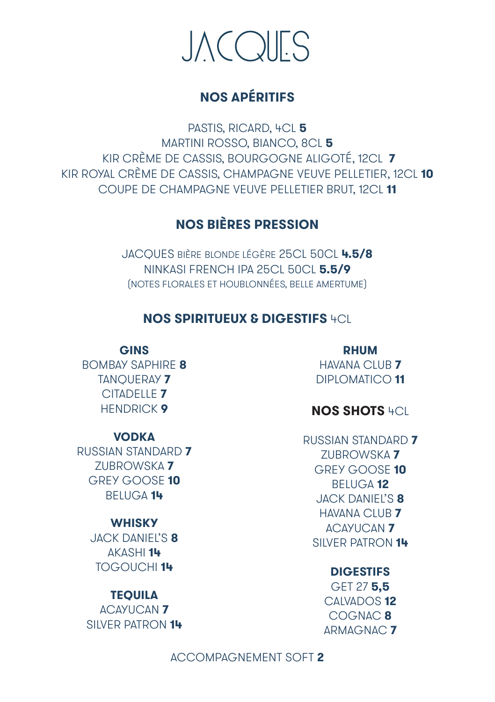

### **NOS APÉRITIFS**

PASTIS, RICARD, 4CL **5** MARTINI ROSSO, BIANCO, 8CL **5** KIR CRÈME DE CASSIS, BOURGOGNE ALIGOTÉ, 12CL **7** KIR ROYAL CRÈME DE CASSIS, CHAMPAGNE VEUVE PELLETIER, 12CL **10** COUPE DE CHAMPAGNE VEUVE PELLETIER BRUT, 12CL **11**

### **NOS BIÈRES PRESSION**

JACQUES BIÈRE BLONDE LÉGÈRE 25CL 50CL **4.5/8** NINKASI FRENCH IPA 25CL 50CL **5.5/9** (NOTES FLORALES ET HOUBLONNÉES, BELLE AMERTUME)

#### **NOS SPIRITUEUX & DIGESTIFS** 4CL

**GINS**

BOMBAY SAPHIRE **8** TANQUERAY **7** CITADELLE **7** HENDRICK **9**

**VODKA** RUSSIAN STANDARD **7** ZUBROWSKA **7** GREY GOOSE **10** BELUGA **14**

#### **WHISKY** JACK DANIEL'S **8** AKASHI **14**

TOGOUCHI **14**

#### **TEQUILA**

ACAYUCAN **7** SILVER PATRON **14**

**RHUM** HAVANA CLUB **7** DIPLOMATICO **11**

#### **NOS SHOTS** 4CL

RUSSIAN STANDARD **7** ZUBROWSKA **7** GREY GOOSE **10** BELUGA **12** JACK DANIEL'S **8** HAVANA CLUB **7** ACAYUCAN **7** SILVER PATRON **14**

#### **DIGESTIFS**

GET 27 **5,5** CALVADOS **12** COGNAC **8** ARMAGNAC **7**

ACCOMPAGNEMENT SOFT **2**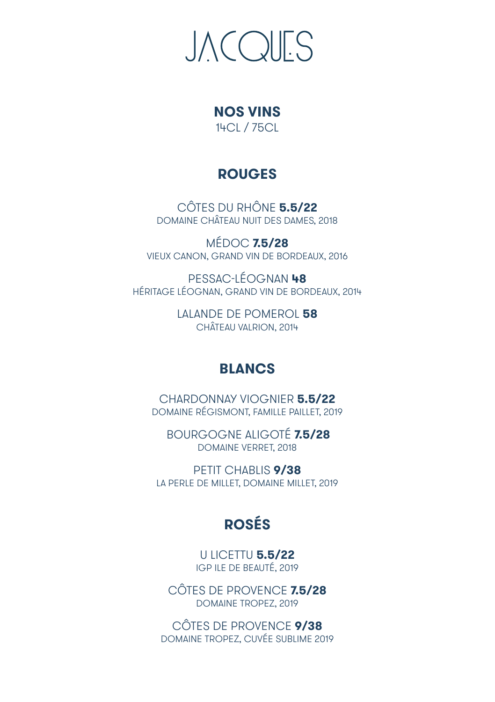# **JACQUES**

# **NOS VINS**

14CL / 75CL

## **ROUGES**

CÔTES DU RHÔNE **5.5/22** DOMAINE CHÂTEAU NUIT DES DAMES, 2018

MÉDOC **7.5/28** VIEUX CANON, GRAND VIN DE BORDEAUX, 2016

PESSAC-LÉOGNAN **48** HÉRITAGE LÉOGNAN, GRAND VIN DE BORDEAUX, 2014

> LALANDE DE POMEROL **58** CHÂTEAU VALRION, 2014

## **BLANCS**

CHARDONNAY VIOGNIER **5.5/22** DOMAINE RÉGISMONT, FAMILLE PAILLET, 2019

BOURGOGNE ALIGOTÉ **7.5/28** DOMAINE VERRET, 2018

PETIT CHABLIS **9/38** LA PERLE DE MILLET, DOMAINE MILLET, 2019

# **ROSÉS**

U LICETTU **5.5/22** IGP ILE DE BEAUTÉ, 2019

CÔTES DE PROVENCE **7.5/28** DOMAINE TROPEZ, 2019

CÔTES DE PROVENCE **9/38** DOMAINE TROPEZ, CUVÉE SUBLIME 2019